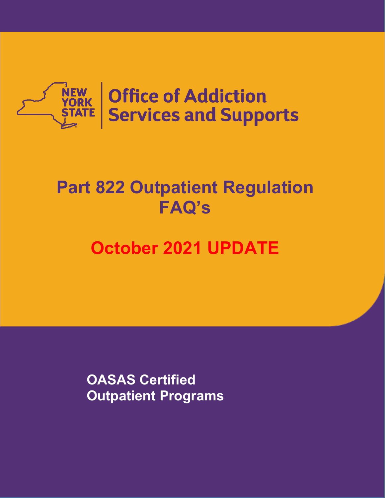

# **Part 822 Outpatient Regulation FAQ's**

# **October 2021 UPDATE**

**OASAS Certified Outpatient Programs**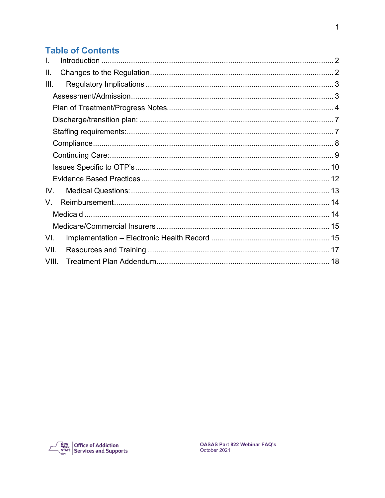## **Table of Contents**

| T.    |  |  |
|-------|--|--|
| Ш.    |  |  |
| III.  |  |  |
|       |  |  |
|       |  |  |
|       |  |  |
|       |  |  |
|       |  |  |
|       |  |  |
|       |  |  |
|       |  |  |
| IV.   |  |  |
| V.    |  |  |
|       |  |  |
|       |  |  |
| VI.   |  |  |
| VII.  |  |  |
| VIII. |  |  |

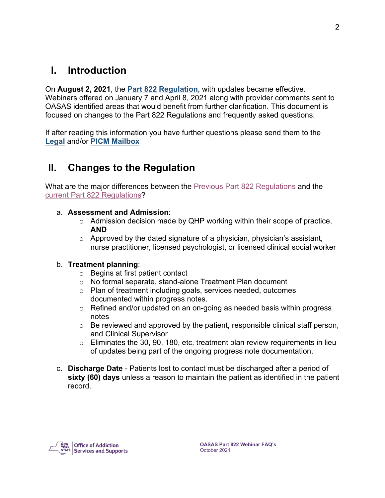# <span id="page-2-0"></span>**I. Introduction**

On **August 2, 2021**, the **[Part 822 Regulation](https://oasas.ny.gov/system/files/documents/2021/01/822_aug.pdf)**, with updates became effective. Webinars offered on January 7 and April 8, 2021 along with provider comments sent to OASAS identified areas that would benefit from further clarification. This document is focused on changes to the Part 822 Regulations and frequently asked questions.

If after reading this information you have further questions please send them to the **[Legal](mailto:oasas.sm.legal@oasas.ny.gov)** and/or **[PICM Mailbox](mailto:PICM@oasas.ny.gov)**

# <span id="page-2-1"></span>**II. Changes to the Regulation**

What are the major differences between the **Previous [Part 822 Regulations](https://oasas.ny.gov/general-service-standards-substance-use-disorder-outpatient-programs-part-822)** and the current [Part 822 Regulations?](https://oasas.ny.gov/system/files/documents/2021/01/822_aug.pdf)

#### a. **Assessment and Admission**:

- o Admission decision made by QHP working within their scope of practice, **AND**
- o Approved by the dated signature of a physician, physician's assistant, nurse practitioner, licensed psychologist, or licensed clinical social worker

#### b. **Treatment planning**:

- o Begins at first patient contact
- o No formal separate, stand-alone Treatment Plan document
- o Plan of treatment including goals, services needed, outcomes documented within progress notes.
- o Refined and/or updated on an on-going as needed basis within progress notes
- o Be reviewed and approved by the patient, responsible clinical staff person, and Clinical Supervisor
- $\circ$  Eliminates the 30, 90, 180, etc. treatment plan review requirements in lieu of updates being part of the ongoing progress note documentation.
- c. **Discharge Date** Patients lost to contact must be discharged after a period of **sixty (60) days** unless a reason to maintain the patient as identified in the patient record.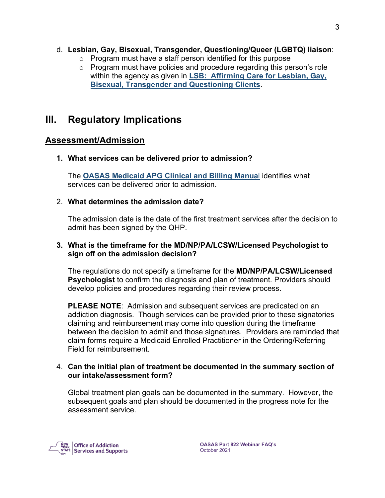#### d. **Lesbian, Gay, Bisexual, Transgender, Questioning/Queer (LGBTQ) liaison**:

- o Program must have a staff person identified for this purpose
- o Program must have policies and procedure regarding this person's role within the agency as given in **[LSB: Affirming Care for Lesbian, Gay,](https://oasas.ny.gov/affirming-care-lesbian-gay-bisexual-transgender-and-questioning-clients)  [Bisexual, Transgender and Questioning Clients](https://oasas.ny.gov/affirming-care-lesbian-gay-bisexual-transgender-and-questioning-clients)**.

# <span id="page-3-0"></span>**III. Regulatory Implications**

## <span id="page-3-1"></span>**Assessment/Admission**

#### **1. What services can be delivered prior to admission?**

The **[OASAS Medicaid APG Clinical and Billing Manua](https://www.oasas.ny.gov/ambulatory-patient-group-manual)**l identifies what services can be delivered prior to admission.

#### 2. **What determines the admission date?**

The admission date is the date of the first treatment services after the decision to admit has been signed by the QHP.

#### **3. What is the timeframe for the MD/NP/PA/LCSW/Licensed Psychologist to sign off on the admission decision?**

The regulations do not specify a timeframe for the **MD/NP/PA/LCSW/Licensed Psychologist** to confirm the diagnosis and plan of treatment. Providers should develop policies and procedures regarding their review process.

**PLEASE NOTE**: Admission and subsequent services are predicated on an addiction diagnosis. Though services can be provided prior to these signatories claiming and reimbursement may come into question during the timeframe between the decision to admit and those signatures. Providers are reminded that claim forms require a Medicaid Enrolled Practitioner in the Ordering/Referring Field for reimbursement.

#### 4. **Can the initial plan of treatment be documented in the summary section of our intake/assessment form?**

Global treatment plan goals can be documented in the summary. However, the subsequent goals and plan should be documented in the progress note for the assessment service.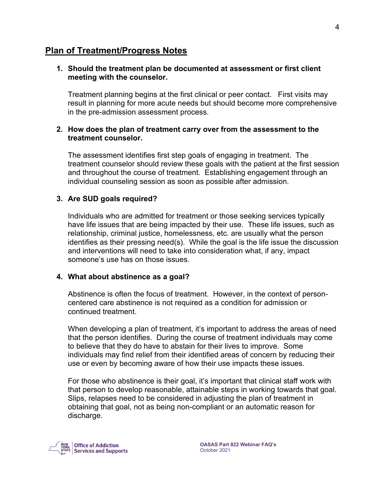#### <span id="page-4-0"></span>**Plan of Treatment/Progress Notes**

#### **1. Should the treatment plan be documented at assessment or first client meeting with the counselor.**

Treatment planning begins at the first clinical or peer contact. First visits may result in planning for more acute needs but should become more comprehensive in the pre-admission assessment process.

#### **2. How does the plan of treatment carry over from the assessment to the treatment counselor.**

The assessment identifies first step goals of engaging in treatment. The treatment counselor should review these goals with the patient at the first session and throughout the course of treatment. Establishing engagement through an individual counseling session as soon as possible after admission.

#### **3. Are SUD goals required?**

Individuals who are admitted for treatment or those seeking services typically have life issues that are being impacted by their use. These life issues, such as relationship, criminal justice, homelessness, etc. are usually what the person identifies as their pressing need(s). While the goal is the life issue the discussion and interventions will need to take into consideration what, if any, impact someone's use has on those issues.

#### **4. What about abstinence as a goal?**

Abstinence is often the focus of treatment. However, in the context of personcentered care abstinence is not required as a condition for admission or continued treatment.

When developing a plan of treatment, it's important to address the areas of need that the person identifies. During the course of treatment individuals may come to believe that they do have to abstain for their lives to improve. Some individuals may find relief from their identified areas of concern by reducing their use or even by becoming aware of how their use impacts these issues.

For those who abstinence is their goal, it's important that clinical staff work with that person to develop reasonable, attainable steps in working towards that goal. Slips, relapses need to be considered in adjusting the plan of treatment in obtaining that goal, not as being non-compliant or an automatic reason for discharge.

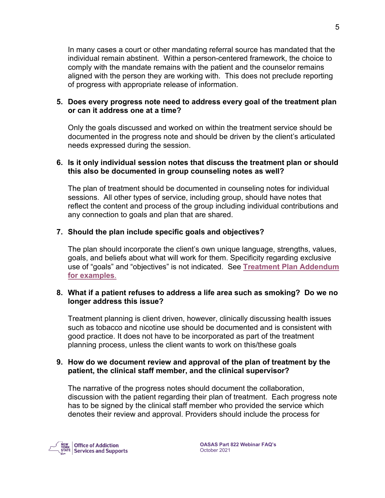In many cases a court or other mandating referral source has mandated that the individual remain abstinent. Within a person-centered framework, the choice to comply with the mandate remains with the patient and the counselor remains aligned with the person they are working with. This does not preclude reporting of progress with appropriate release of information.

#### **5. Does every progress note need to address every goal of the treatment plan or can it address one at a time?**

Only the goals discussed and worked on within the treatment service should be documented in the progress note and should be driven by the client's articulated needs expressed during the session.

#### **6. Is it only individual session notes that discuss the treatment plan or should this also be documented in group counseling notes as well?**

The plan of treatment should be documented in counseling notes for individual sessions. All other types of service, including group, should have notes that reflect the content and process of the group including individual contributions and any connection to goals and plan that are shared.

#### **7. Should the plan include specific goals and objectives?**

The plan should incorporate the client's own unique language, strengths, values, goals, and beliefs about what will work for them. Specificity regarding exclusive use of "goals" and "objectives" is not indicated. See **[Treatment Plan Addendum](#page-18-0)  [for examples](#page-18-0)**.

#### **8. What if a patient refuses to address a life area such as smoking? Do we no longer address this issue?**

Treatment planning is client driven, however, clinically discussing health issues such as tobacco and nicotine use should be documented and is consistent with good practice. It does not have to be incorporated as part of the treatment planning process, unless the client wants to work on this/these goals

#### **9. How do we document review and approval of the plan of treatment by the patient, the clinical staff member, and the clinical supervisor?**

The narrative of the progress notes should document the collaboration, discussion with the patient regarding their plan of treatment. Each progress note has to be signed by the clinical staff member who provided the service which denotes their review and approval. Providers should include the process for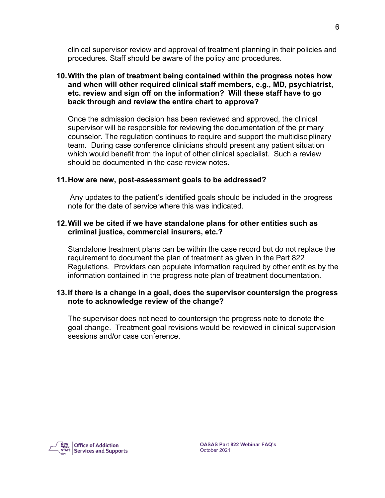clinical supervisor review and approval of treatment planning in their policies and procedures. Staff should be aware of the policy and procedures.

#### **10.With the plan of treatment being contained within the progress notes how and when will other required clinical staff members, e.g., MD, psychiatrist, etc. review and sign off on the information? Will these staff have to go back through and review the entire chart to approve?**

Once the admission decision has been reviewed and approved, the clinical supervisor will be responsible for reviewing the documentation of the primary counselor. The regulation continues to require and support the multidisciplinary team. During case conference clinicians should present any patient situation which would benefit from the input of other clinical specialist. Such a review should be documented in the case review notes.

#### **11.How are new, post-assessment goals to be addressed?**

Any updates to the patient's identified goals should be included in the progress note for the date of service where this was indicated.

#### **12.Will we be cited if we have standalone plans for other entities such as criminal justice, commercial insurers, etc.?**

Standalone treatment plans can be within the case record but do not replace the requirement to document the plan of treatment as given in the Part 822 Regulations. Providers can populate information required by other entities by the information contained in the progress note plan of treatment documentation.

#### **13.If there is a change in a goal, does the supervisor countersign the progress note to acknowledge review of the change?**

The supervisor does not need to countersign the progress note to denote the goal change. Treatment goal revisions would be reviewed in clinical supervision sessions and/or case conference.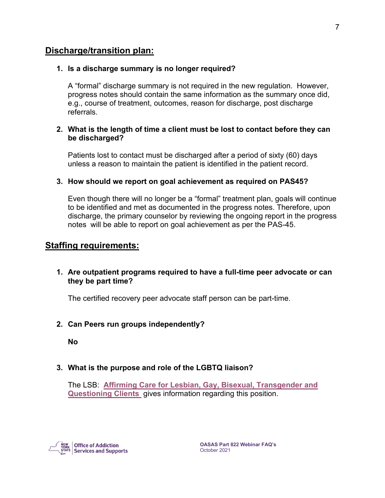#### <span id="page-7-0"></span>**Discharge/transition plan:**

#### **1. Is a discharge summary is no longer required?**

A "formal" discharge summary is not required in the new regulation. However, progress notes should contain the same information as the summary once did, e.g., course of treatment, outcomes, reason for discharge, post discharge referrals.

#### **2. What is the length of time a client must be lost to contact before they can be discharged?**

Patients lost to contact must be discharged after a period of sixty (60) days unless a reason to maintain the patient is identified in the patient record.

#### **3. How should we report on goal achievement as required on PAS45?**

Even though there will no longer be a "formal" treatment plan, goals will continue to be identified and met as documented in the progress notes. Therefore, upon discharge, the primary counselor by reviewing the ongoing report in the progress notes will be able to report on goal achievement as per the PAS-45.

#### <span id="page-7-1"></span>**Staffing requirements:**

**1. Are outpatient programs required to have a full-time peer advocate or can they be part time?** 

The certified recovery peer advocate staff person can be part-time.

#### **2. Can Peers run groups independently?**

**No**

#### **3. What is the purpose and role of the LGBTQ liaison?**

The LSB: **[Affirming Care for Lesbian, Gay, Bisexual, Transgender and](https://oasas.ny.gov/affirming-care-lesbian-gay-bisexual-transgender-and-questioning-clients)  [Questioning Clients](https://oasas.ny.gov/affirming-care-lesbian-gay-bisexual-transgender-and-questioning-clients)** gives information regarding this position.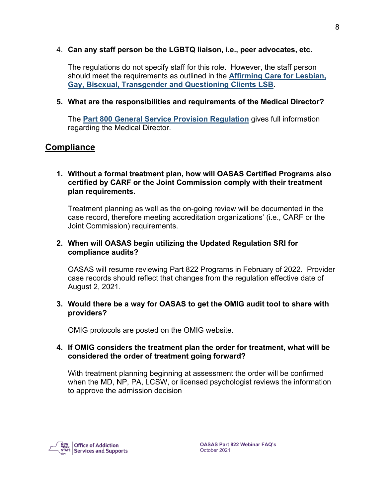#### 4. **Can any staff person be the LGBTQ liaison, i.e., peer advocates, etc.**

The regulations do not specify staff for this role. However, the staff person should meet the requirements as outlined in the **[Affirming Care for Lesbian,](https://oasas.ny.gov/affirming-care-lesbian-gay-bisexual-transgender-and-questioning-clients)  [Gay, Bisexual, Transgender and Questioning Clients LSB](https://oasas.ny.gov/affirming-care-lesbian-gay-bisexual-transgender-and-questioning-clients)**.

#### **5. What are the responsibilities and requirements of the Medical Director?**

The **[Part 800 General Service Provision Regulation](https://oasas.ny.gov/part-800)** gives full information regarding the Medical Director.

#### <span id="page-8-0"></span>**Compliance**

#### **1. Without a formal treatment plan, how will OASAS Certified Programs also certified by CARF or the Joint Commission comply with their treatment plan requirements.**

Treatment planning as well as the on-going review will be documented in the case record, therefore meeting accreditation organizations' (i.e., CARF or the Joint Commission) requirements.

#### **2. When will OASAS begin utilizing the Updated Regulation SRI for compliance audits?**

OASAS will resume reviewing Part 822 Programs in February of 2022. Provider case records should reflect that changes from the regulation effective date of August 2, 2021.

#### **3. Would there be a way for OASAS to get the OMIG audit tool to share with providers?**

OMIG protocols are posted on the OMIG website.

#### **4. If OMIG considers the treatment plan the order for treatment, what will be considered the order of treatment going forward?**

With treatment planning beginning at assessment the order will be confirmed when the MD, NP, PA, LCSW, or licensed psychologist reviews the information to approve the admission decision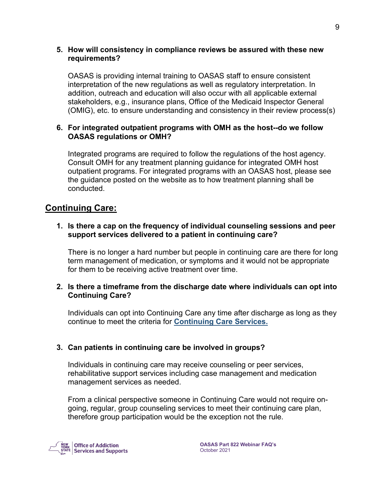#### **5. How will consistency in compliance reviews be assured with these new requirements?**

OASAS is providing internal training to OASAS staff to ensure consistent interpretation of the new regulations as well as regulatory interpretation. In addition, outreach and education will also occur with all applicable external stakeholders, e.g., insurance plans, Office of the Medicaid Inspector General (OMIG), etc. to ensure understanding and consistency in their review process(s)

#### **6. For integrated outpatient programs with OMH as the host--do we follow OASAS regulations or OMH?**

Integrated programs are required to follow the regulations of the host agency. Consult OMH for any treatment planning guidance for integrated OMH host outpatient programs. For integrated programs with an OASAS host, please see the guidance posted on the website as to how treatment planning shall be conducted.

## <span id="page-9-0"></span>**Continuing Care:**

**1. Is there a cap on the frequency of individual counseling sessions and peer support services delivered to a patient in continuing care?** 

There is no longer a hard number but people in continuing care are there for long term management of medication, or symptoms and it would not be appropriate for them to be receiving active treatment over time.

#### **2. Is there a timeframe from the discharge date where individuals can opt into Continuing Care?**

Individuals can opt into Continuing Care any time after discharge as long as they continue to meet the criteria for **[Continuing Care Services.](https://oasas.ny.gov/system/files/documents/2020/01/continuing-care.pdf)**

#### **3. Can patients in continuing care be involved in groups?**

Individuals in continuing care may receive counseling or peer services, rehabilitative support services including case management and medication management services as needed.

From a clinical perspective someone in Continuing Care would not require ongoing, regular, group counseling services to meet their continuing care plan, therefore group participation would be the exception not the rule.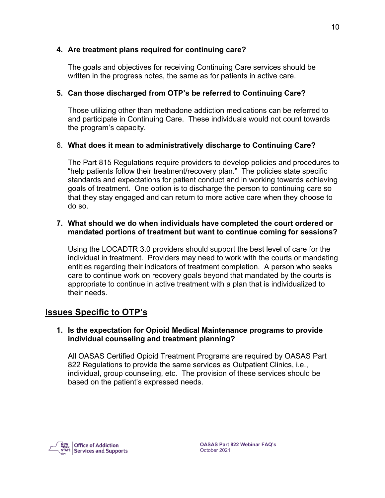#### **4. Are treatment plans required for continuing care?**

The goals and objectives for receiving Continuing Care services should be written in the progress notes, the same as for patients in active care.

#### **5. Can those discharged from OTP's be referred to Continuing Care?**

Those utilizing other than methadone addiction medications can be referred to and participate in Continuing Care. These individuals would not count towards the program's capacity.

#### 6. **What does it mean to administratively discharge to Continuing Care?**

The Part 815 Regulations require providers to develop policies and procedures to "help patients follow their treatment/recovery plan." The policies state specific standards and expectations for patient conduct and in working towards achieving goals of treatment. One option is to discharge the person to continuing care so that they stay engaged and can return to more active care when they choose to do so.

#### **7. What should we do when individuals have completed the court ordered or mandated portions of treatment but want to continue coming for sessions?**

Using the LOCADTR 3.0 providers should support the best level of care for the individual in treatment. Providers may need to work with the courts or mandating entities regarding their indicators of treatment completion. A person who seeks care to continue work on recovery goals beyond that mandated by the courts is appropriate to continue in active treatment with a plan that is individualized to their needs.

## <span id="page-10-0"></span>**Issues Specific to OTP's**

#### **1. Is the expectation for Opioid Medical Maintenance programs to provide individual counseling and treatment planning?**

All OASAS Certified Opioid Treatment Programs are required by OASAS Part 822 Regulations to provide the same services as Outpatient Clinics, i.e., individual, group counseling, etc. The provision of these services should be based on the patient's expressed needs.

**Office of Addiction**  $\frac{1}{2}$  Services and Supports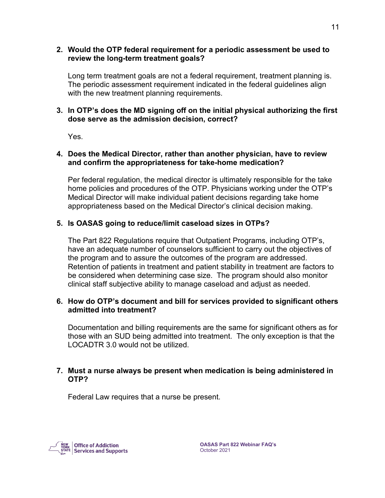#### **2. Would the OTP federal requirement for a periodic assessment be used to review the long-term treatment goals?**

Long term treatment goals are not a federal requirement, treatment planning is. The periodic assessment requirement indicated in the federal guidelines align with the new treatment planning requirements.

#### **3. In OTP's does the MD signing off on the initial physical authorizing the first dose serve as the admission decision, correct?**

Yes.

#### **4. Does the Medical Director, rather than another physician, have to review and confirm the appropriateness for take-home medication?**

Per federal regulation, the medical director is ultimately responsible for the take home policies and procedures of the OTP. Physicians working under the OTP's Medical Director will make individual patient decisions regarding take home appropriateness based on the Medical Director's clinical decision making.

#### **5. Is OASAS going to reduce/limit caseload sizes in OTPs?**

The Part 822 Regulations require that Outpatient Programs, including OTP's, have an adequate number of counselors sufficient to carry out the objectives of the program and to assure the outcomes of the program are addressed. Retention of patients in treatment and patient stability in treatment are factors to be considered when determining case size. The program should also monitor clinical staff subjective ability to manage caseload and adjust as needed.

#### **6. How do OTP's document and bill for services provided to significant others admitted into treatment?**

Documentation and billing requirements are the same for significant others as for those with an SUD being admitted into treatment. The only exception is that the LOCADTR 3.0 would not be utilized.

#### **7. Must a nurse always be present when medication is being administered in OTP?**

Federal Law requires that a nurse be present.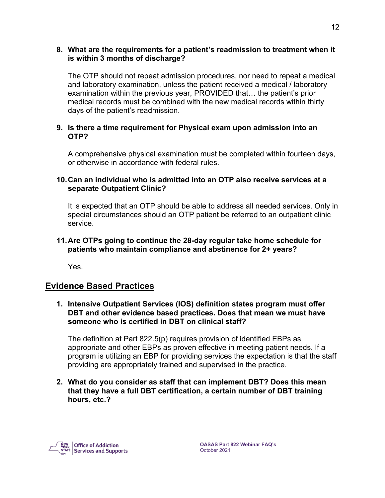#### **8. What are the requirements for a patient's readmission to treatment when it is within 3 months of discharge?**

The OTP should not repeat admission procedures, nor need to repeat a medical and laboratory examination, unless the patient received a medical / laboratory examination within the previous year, PROVIDED that… the patient's prior medical records must be combined with the new medical records within thirty days of the patient's readmission.

#### **9. Is there a time requirement for Physical exam upon admission into an OTP?**

A comprehensive physical examination must be completed within fourteen days, or otherwise in accordance with federal rules.

#### **10.Can an individual who is admitted into an OTP also receive services at a separate Outpatient Clinic?**

It is expected that an OTP should be able to address all needed services. Only in special circumstances should an OTP patient be referred to an outpatient clinic service.

#### **11.Are OTPs going to continue the 28-day regular take home schedule for patients who maintain compliance and abstinence for 2+ years?**

Yes.

## <span id="page-12-0"></span>**Evidence Based Practices**

#### **1. Intensive Outpatient Services (IOS) definition states program must offer DBT and other evidence based practices. Does that mean we must have someone who is certified in DBT on clinical staff?**

The definition at Part 822.5(p) requires provision of identified EBPs as appropriate and other EBPs as proven effective in meeting patient needs. If a program is utilizing an EBP for providing services the expectation is that the staff providing are appropriately trained and supervised in the practice.

#### **2. What do you consider as staff that can implement DBT? Does this mean that they have a full DBT certification, a certain number of DBT training hours, etc.?**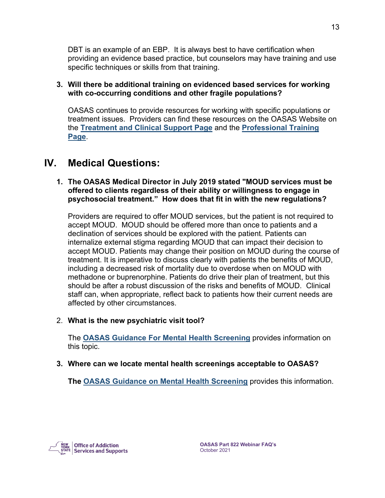DBT is an example of an EBP. It is always best to have certification when providing an evidence based practice, but counselors may have training and use specific techniques or skills from that training.

#### **3. Will there be additional training on evidenced based services for working with co-occurring conditions and other fragile populations?**

OASAS continues to provide resources for working with specific populations or treatment issues. Providers can find these resources on the OASAS Website on the **[Treatment and Clinical Support Page](https://oasas.ny.gov/providers/clinical-support)** and the **[Professional Training](https://oasas.ny.gov/training)  [Page](https://oasas.ny.gov/training)**.

# <span id="page-13-0"></span>**IV. Medical Questions:**

#### **1. The OASAS Medical Director in July 2019 stated "MOUD services must be offered to clients regardless of their ability or willingness to engage in psychosocial treatment." How does that fit in with the new regulations?**

Providers are required to offer MOUD services, but the patient is not required to accept MOUD. MOUD should be offered more than once to patients and a declination of services should be explored with the patient. Patients can internalize external stigma regarding MOUD that can impact their decision to accept MOUD. Patients may change their position on MOUD during the course of treatment. It is imperative to discuss clearly with patients the benefits of MOUD, including a decreased risk of mortality due to overdose when on MOUD with methadone or buprenorphine. Patients do drive their plan of treatment, but this should be after a robust discussion of the risks and benefits of MOUD. Clinical staff can, when appropriate, reflect back to patients how their current needs are affected by other circumstances.

#### 2. **What is the new psychiatric visit tool?**

The **[OASAS Guidance For Mental Health Screening](https://oasas.ny.gov/system/files/documents/2020/10/mental-health-screening-guidance.pdf)** provides information on this topic.

**3. Where can we locate mental health screenings acceptable to OASAS?**

**The [OASAS Guidance on Mental Health Screening](https://oasas.ny.gov/system/files/documents/2020/10/mental-health-screening-guidance.pdf)** provides this information.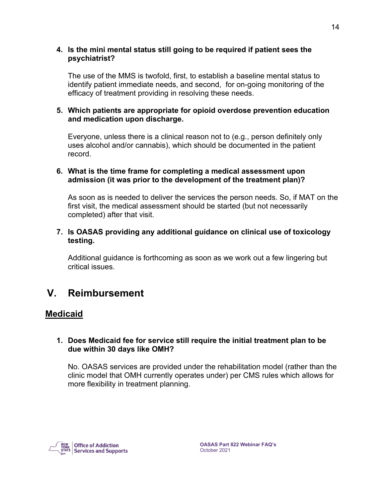#### **4. Is the mini mental status still going to be required if patient sees the psychiatrist?**

The use of the MMS is twofold, first, to establish a baseline mental status to identify patient immediate needs, and second, for on-going monitoring of the efficacy of treatment providing in resolving these needs.

#### **5. Which patients are appropriate for opioid overdose prevention education and medication upon discharge.**

Everyone, unless there is a clinical reason not to (e.g., person definitely only uses alcohol and/or cannabis), which should be documented in the patient record.

#### **6. What is the time frame for completing a medical assessment upon admission (it was prior to the development of the treatment plan)?**

As soon as is needed to deliver the services the person needs. So, if MAT on the first visit, the medical assessment should be started (but not necessarily completed) after that visit.

#### **7. Is OASAS providing any additional guidance on clinical use of toxicology testing.**

Additional guidance is forthcoming as soon as we work out a few lingering but critical issues.

# <span id="page-14-0"></span>**V. Reimbursement**

### <span id="page-14-1"></span>**Medicaid**

#### **1. Does Medicaid fee for service still require the initial treatment plan to be due within 30 days like OMH?**

No. OASAS services are provided under the rehabilitation model (rather than the clinic model that OMH currently operates under) per CMS rules which allows for more flexibility in treatment planning.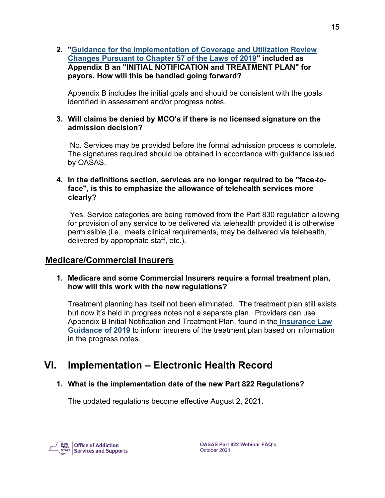#### **2. ["Guidance for the Implementation of Coverage and Utilization Review](https://oasas.ny.gov/providers/insurance-coverage-and-implementation-guidance)  [Changes Pursuant to Chapter 57 of the Laws of 2019"](https://oasas.ny.gov/providers/insurance-coverage-and-implementation-guidance) included as Appendix B an "INITIAL NOTIFICATION and TREATMENT PLAN" for payors. How will this be handled going forward?**

Appendix B includes the initial goals and should be consistent with the goals identified in assessment and/or progress notes.

#### **3. Will claims be denied by MCO's if there is no licensed signature on the admission decision?**

No. Services may be provided before the formal admission process is complete. The signatures required should be obtained in accordance with guidance issued by OASAS.

#### **4. In the definitions section, services are no longer required to be "face-toface", is this to emphasize the allowance of telehealth services more clearly?**

Yes. Service categories are being removed from the Part 830 regulation allowing for provision of any service to be delivered via telehealth provided it is otherwise permissible (i.e., meets clinical requirements, may be delivered via telehealth, delivered by appropriate staff, etc.).

### <span id="page-15-0"></span>**Medicare/Commercial Insurers**

#### **1. Medicare and some Commercial Insurers require a formal treatment plan, how will this work with the new regulations?**

Treatment planning has itself not been eliminated. The treatment plan still exists but now it's held in progress notes not a separate plan. Providers can use Appendix B Initial Notification and Treatment Plan, found in the **[Insurance Law](https://oasas.ny.gov/system/files/documents/2020/01/insurance-law-guidance.pdf)  [Guidance of 2019](https://oasas.ny.gov/system/files/documents/2020/01/insurance-law-guidance.pdf)** to inform insurers of the treatment plan based on information in the progress notes.

# <span id="page-15-1"></span>**VI. Implementation – Electronic Health Record**

#### **1. What is the implementation date of the new Part 822 Regulations?**

The updated regulations become effective August 2, 2021.

**Office of Addiction**  $\frac{1}{2}$  Services and Supports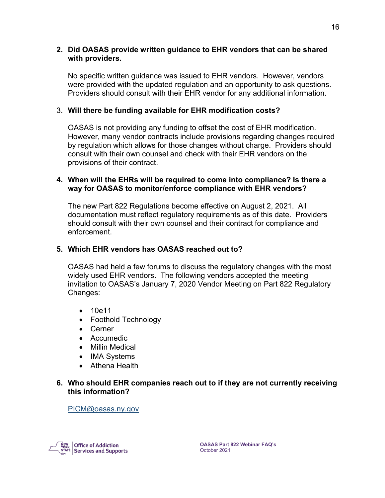#### **2. Did OASAS provide written guidance to EHR vendors that can be shared with providers.**

No specific written guidance was issued to EHR vendors. However, vendors were provided with the updated regulation and an opportunity to ask questions. Providers should consult with their EHR vendor for any additional information.

#### 3. **Will there be funding available for EHR modification costs?**

OASAS is not providing any funding to offset the cost of EHR modification. However, many vendor contracts include provisions regarding changes required by regulation which allows for those changes without charge. Providers should consult with their own counsel and check with their EHR vendors on the provisions of their contract.

#### **4. When will the EHRs will be required to come into compliance? Is there a way for OASAS to monitor/enforce compliance with EHR vendors?**

The new Part 822 Regulations become effective on August 2, 2021. All documentation must reflect regulatory requirements as of this date. Providers should consult with their own counsel and their contract for compliance and enforcement.

#### **5. Which EHR vendors has OASAS reached out to?**

OASAS had held a few forums to discuss the regulatory changes with the most widely used EHR vendors. The following vendors accepted the meeting invitation to OASAS's January 7, 2020 Vendor Meeting on Part 822 Regulatory Changes:

- 10e11
- Foothold Technology
- Cerner
- Accumedic
- Millin Medical
- IMA Systems
- Athena Health

#### **6. Who should EHR companies reach out to if they are not currently receiving this information?**

[PICM@oasas.ny.gov](mailto:PICM@oasas.ny.gov)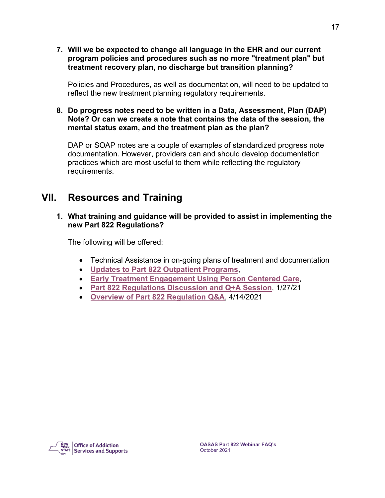**7. Will we be expected to change all language in the EHR and our current program policies and procedures such as no more "treatment plan" but treatment recovery plan, no discharge but transition planning?**

Policies and Procedures, as well as documentation, will need to be updated to reflect the new treatment planning regulatory requirements.

#### **8. Do progress notes need to be written in a Data, Assessment, Plan (DAP) Note? Or can we create a note that contains the data of the session, the mental status exam, and the treatment plan as the plan?**

DAP or SOAP notes are a couple of examples of standardized progress note documentation. However, providers can and should develop documentation practices which are most useful to them while reflecting the regulatory requirements.

# <span id="page-17-0"></span>**VII. Resources and Training**

**1. What training and guidance will be provided to assist in implementing the new Part 822 Regulations?**

The following will be offered:

- Technical Assistance in on-going plans of treatment and documentation
- **[Updates to Part 822 Outpatient Programs](https://oasas.ny.gov/learning-thursday-regulatory-updates-part-822-outpatient-programs)**,
- **[Early Treatment Engagement Using Person Centered Care](https://oasas.ny.gov/training/clinical-support)**,
- **[Part 822 Regulations Discussion and Q+A Session](https://oasas.ny.gov/new-part-822-regulations-discussion-and-qa-session)**, 1/27/21
- **[Overview of Part 822 Regulation Q&A](https://oasas.ny.gov/legal/overview-part-822-regulation)**, 4/14/2021

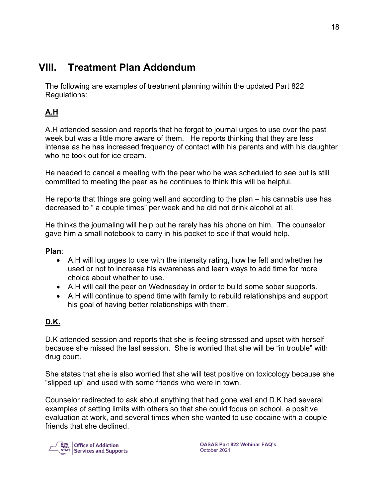# <span id="page-18-0"></span>**VIII. Treatment Plan Addendum**

The following are examples of treatment planning within the updated Part 822 Regulations:

## **A.H**

A.H attended session and reports that he forgot to journal urges to use over the past week but was a little more aware of them. He reports thinking that they are less intense as he has increased frequency of contact with his parents and with his daughter who he took out for ice cream.

He needed to cancel a meeting with the peer who he was scheduled to see but is still committed to meeting the peer as he continues to think this will be helpful.

He reports that things are going well and according to the plan – his cannabis use has decreased to " a couple times" per week and he did not drink alcohol at all.

He thinks the journaling will help but he rarely has his phone on him. The counselor gave him a small notebook to carry in his pocket to see if that would help.

**Plan**:

- A.H will log urges to use with the intensity rating, how he felt and whether he used or not to increase his awareness and learn ways to add time for more choice about whether to use.
- A.H will call the peer on Wednesday in order to build some sober supports.
- A.H will continue to spend time with family to rebuild relationships and support his goal of having better relationships with them.

## **D.K.**

D.K attended session and reports that she is feeling stressed and upset with herself because she missed the last session. She is worried that she will be "in trouble" with drug court.

She states that she is also worried that she will test positive on toxicology because she "slipped up" and used with some friends who were in town.

Counselor redirected to ask about anything that had gone well and D.K had several examples of setting limits with others so that she could focus on school, a positive evaluation at work, and several times when she wanted to use cocaine with a couple friends that she declined.